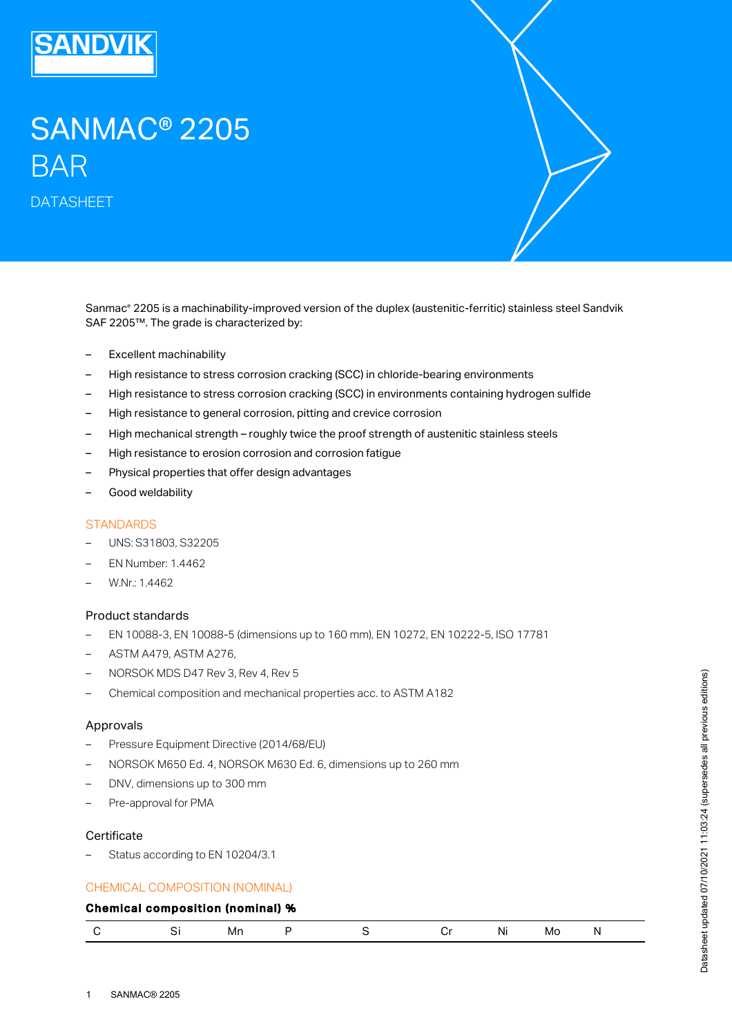

# SANMAC® 2205 BAR

DATASHEET

Sanmac® 2205 is a machinability-improved version of the duplex (austenitic-ferritic) stainless steel Sandvik SAF 2205™. The grade is characterized by:

- Excellent machinability
- High resistance to stress corrosion cracking (SCC) in chloride-bearing environments
- High resistance to stress corrosion cracking (SCC) in environments containing hydrogen sulfide
- High resistance to general corrosion, pitting and crevice corrosion
- High mechanical strength roughly twice the proof strength of austenitic stainless steels
- High resistance to erosion corrosion and corrosion fatigue
- Physical properties that offer design advantages
- Good weldability

#### **STANDARDS**

- UNS: S31803, S32205
- EN Number: 1.4462
- W.Nr.: 1.4462

## Product standards

- EN 10088-3, EN 10088-5 (dimensions up to 160 mm), EN 10272, EN 10222-5, ISO 17781
- ASTM A479, ASTM A276,
- NORSOK MDS D47 Rev 3, Rev 4, Rev 5
- Chemical composition and mechanical properties acc. to ASTM A182

#### Approvals

- Pressure Equipment Directive (2014/68/EU)
- NORSOK M650 Ed. 4, NORSOK M630 Ed. 6, dimensions up to 260 mm
- DNV, dimensions up to 300 mm
- Pre-approval for PMA

#### **Certificate**

– Status according to EN 10204/3.1

#### CHEMICAL COMPOSITION (NOMINAL)

## Chemical composition (nominal) %

|  |  | Mn |  |  |  | Νı<br>.<br>$\cdot$ $\cdot$ $\cdot$ | MO |  |  |
|--|--|----|--|--|--|------------------------------------|----|--|--|
|--|--|----|--|--|--|------------------------------------|----|--|--|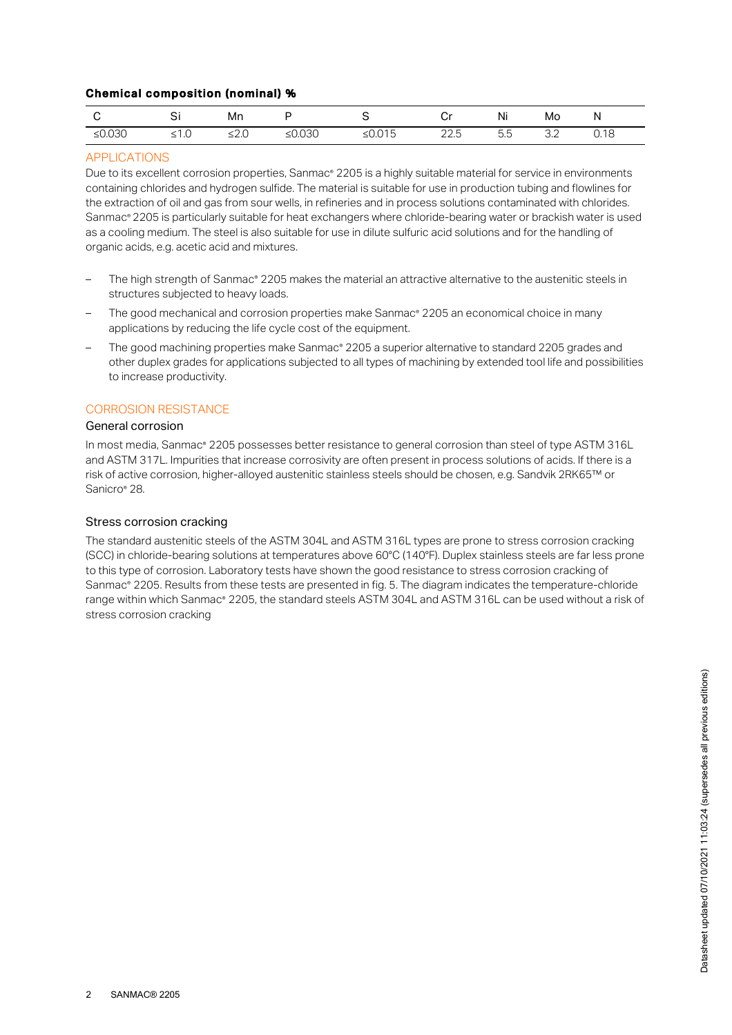## Chemical composition (nominal) %

|           |         | Mn    |           |                   | اب                         | Ni        | Mo                 | N    |
|-----------|---------|-------|-----------|-------------------|----------------------------|-----------|--------------------|------|
| ≤ $0.030$ | ن ، ، د | ں ے د | ≤ $0.030$ | $-0.015$<br>50.01 | $\cap$ $\cap$<br>-<br>ے کے | 도도<br>ں.ں | $\cap$<br>$\cup$ . | 0.18 |

## APPLICATIONS

Due to its excellent corrosion properties, Sanmac® 2205 is a highly suitable material for service in environments containing chlorides and hydrogen sulfide. The material is suitable for use in production tubing and flowlines for the extraction of oil and gas from sour wells, in refineries and in process solutions contaminated with chlorides. Sanmac® 2205 is particularly suitable for heat exchangers where chloride-bearing water or brackish water is used as a cooling medium. The steel is also suitable for use in dilute sulfuric acid solutions and for the handling of organic acids, e.g. acetic acid and mixtures.

- The high strength of Sanmac® 2205 makes the material an attractive alternative to the austenitic steels in structures subjected to heavy loads.
- The good mechanical and corrosion properties make Sanmac® 2205 an economical choice in many applications by reducing the life cycle cost of the equipment.
- The good machining properties make Sanmac® 2205 a superior alternative to standard 2205 grades and other duplex grades for applications subjected to all types of machining by extended tool life and possibilities to increase productivity.

#### CORROSION RESISTANCE

## General corrosion

In most media, Sanmac® 2205 possesses better resistance to general corrosion than steel of type ASTM 316L and ASTM 317L. Impurities that increase corrosivity are often present in process solutions of acids. If there is a risk of active corrosion, higher-alloyed austenitic stainless steels should be chosen, e.g. Sandvik 2RK65™ or Sanicro® 28.

#### Stress corrosion cracking

The standard austenitic steels of the ASTM 304L and ASTM 316L types are prone to stress corrosion cracking (SCC) in chloride-bearing solutions at temperatures above 60°C (140°F). Duplex stainless steels are far less prone to this type of corrosion. Laboratory tests have shown the good resistance to stress corrosion cracking of Sanmac® 2205. Results from these tests are presented in fig. 5. The diagram indicates the temperature-chloride range within which Sanmac® 2205, the standard steels ASTM 304L and ASTM 316L can be used without a risk of stress corrosion cracking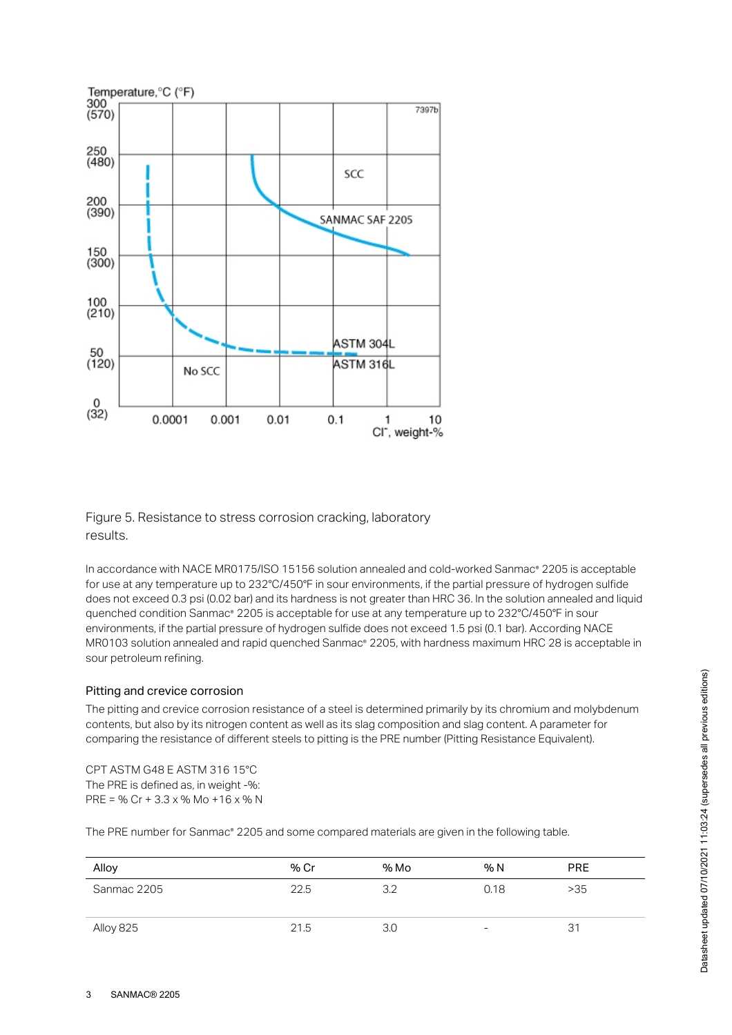

Figure 5. Resistance to stress corrosion cracking, laboratory results.

In accordance with NACE MR0175/ISO 15156 solution annealed and cold-worked Sanmac® 2205 is acceptable for use at any temperature up to 232°C/450°F in sour environments, if the partial pressure of hydrogen sulfide does not exceed 0.3 psi (0.02 bar) and its hardness is not greater than HRC 36. In the solution annealed and liquid quenched condition Sanmac® 2205 is acceptable for use at any temperature up to 232°C/450°F in sour environments, if the partial pressure of hydrogen sulfide does not exceed 1.5 psi (0.1 bar). According NACE MR0103 solution annealed and rapid quenched Sanmac® 2205, with hardness maximum HRC 28 is acceptable in sour petroleum refining.

## Pitting and crevice corrosion

The pitting and crevice corrosion resistance of a steel is determined primarily by its chromium and molybdenum contents, but also by its nitrogen content as well as its slag composition and slag content. A parameter for comparing the resistance of different steels to pitting is the PRE number (Pitting Resistance Equivalent).

CPT ASTM G48 E ASTM 316 15°C The PRE is defined as, in weight -%: PRE = % Cr + 3.3 x % Mo + 16 x % N

The PRE number for Sanmac® 2205 and some compared materials are given in the following table.

| Alloy       | % Cr | % Mo | % N                      | <b>PRE</b> |
|-------------|------|------|--------------------------|------------|
| Sanmac 2205 | 22.5 | 3.2  | 0.18                     | >35        |
| Alloy 825   | 21.5 | 3.0  | $\overline{\phantom{a}}$ | 31         |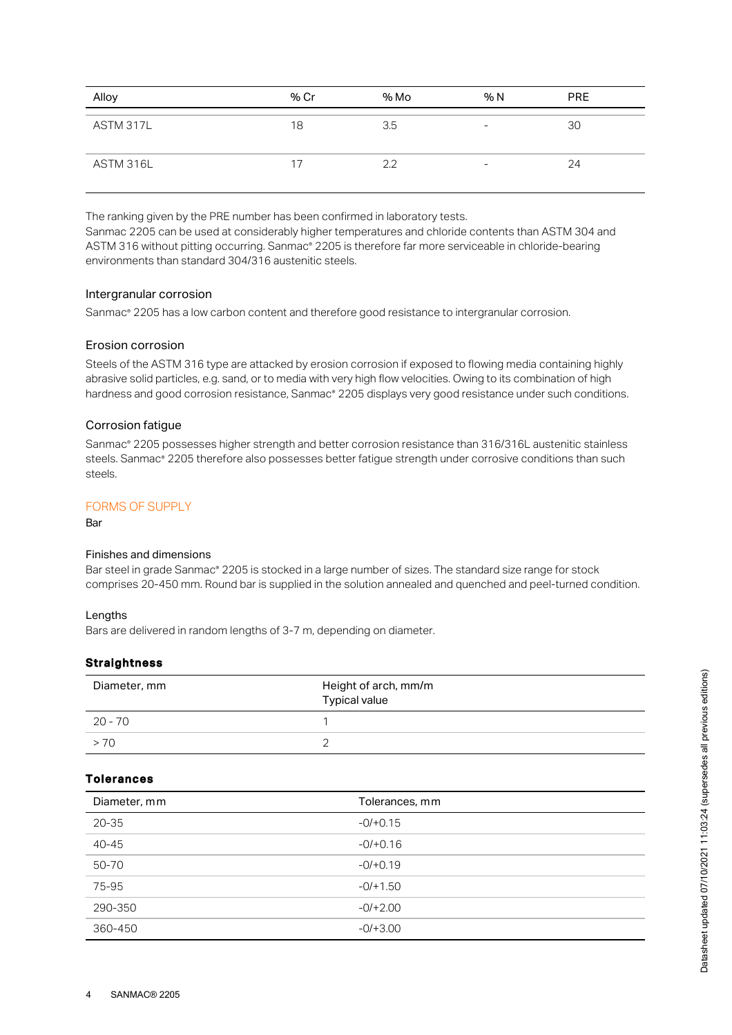| Alloy     | % Cr | % Mo | % N | <b>PRE</b> |
|-----------|------|------|-----|------------|
| ASTM 317L | 18   | 3.5  | -   | 30         |
| ASTM 316L | 17   | 2.2  | -   | 24         |

The ranking given by the PRE number has been confirmed in laboratory tests. Sanmac 2205 can be used at considerably higher temperatures and chloride contents than ASTM 304 and ASTM 316 without pitting occurring. Sanmac® 2205 is therefore far more serviceable in chloride-bearing environments than standard 304/316 austenitic steels.

#### Intergranular corrosion

Sanmac® 2205 has a low carbon content and therefore good resistance to intergranular corrosion.

## Erosion corrosion

Steels of the ASTM 316 type are attacked by erosion corrosion if exposed to flowing media containing highly abrasive solid particles, e.g. sand, or to media with very high flow velocities. Owing to its combination of high hardness and good corrosion resistance, Sanmac® 2205 displays very good resistance under such conditions.

## Corrosion fatigue

Sanmac® 2205 possesses higher strength and better corrosion resistance than 316/316L austenitic stainless steels. Sanmac® 2205 therefore also possesses better fatigue strength under corrosive conditions than such steels.

## FORMS OF SUPPLY

Bar

#### Finishes and dimensions

Bar steel in grade Sanmac® 2205 is stocked in a large number of sizes. The standard size range for stock comprises 20-450 mm. Round bar is supplied in the solution annealed and quenched and peel-turned condition.

#### Lengths

Bars are delivered in random lengths of 3-7 m, depending on diameter.

## **Straightness**

| Diameter, mm | Height of arch, mm/m<br><b>Typical value</b> |
|--------------|----------------------------------------------|
| 20 - 70      |                                              |
| >70          |                                              |

## Tolerances

| Diameter, mm | Tolerances, mm |
|--------------|----------------|
| $20 - 35$    | $-0/+0.15$     |
| $40 - 45$    | $-0/+0.16$     |
| 50-70        | $-0/+0.19$     |
| 75-95        | $-0/+1.50$     |
| 290-350      | $-0/+2.00$     |
| 360-450      | $-0/+3.00$     |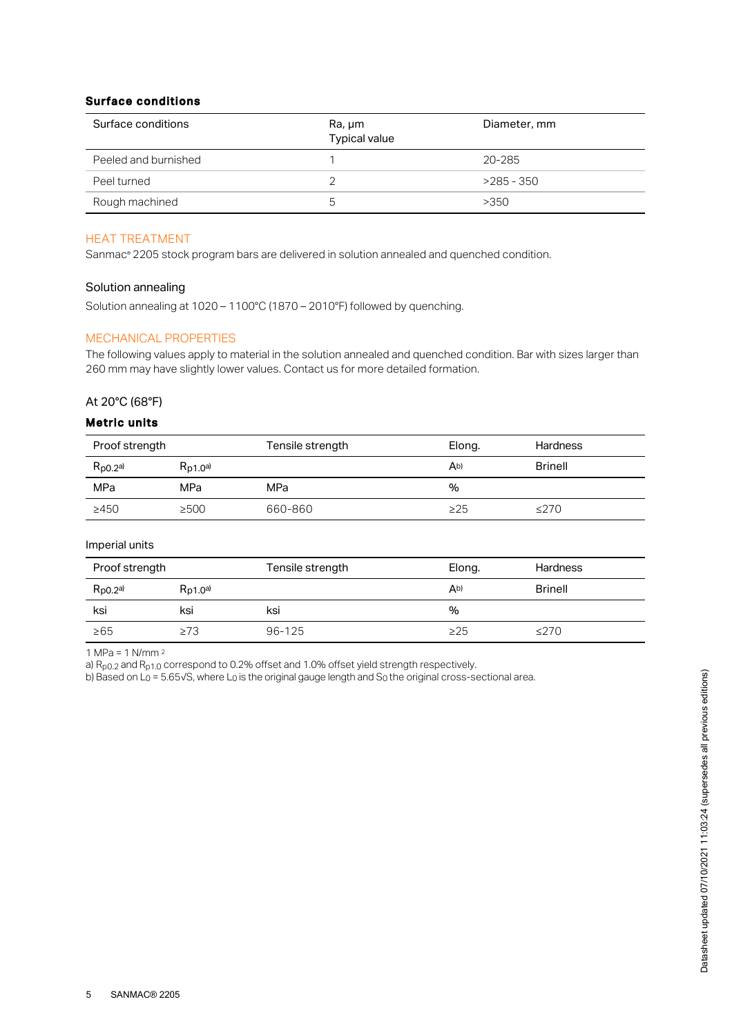## Surface conditions

| Surface conditions   | Ra, µm<br>Typical value | Diameter, mm |
|----------------------|-------------------------|--------------|
| Peeled and burnished |                         | 20-285       |
| Peel turned          |                         | $>285 - 350$ |
| Rough machined       | h                       | >350         |

## HEAT TREATMENT

Sanmac® 2205 stock program bars are delivered in solution annealed and quenched condition.

#### Solution annealing

Solution annealing at 1020 – 1100°C (1870 – 2010°F) followed by quenching.

## MECHANICAL PROPERTIES

The following values apply to material in the solution annealed and quenched condition. Bar with sizes larger than 260 mm may have slightly lower values. Contact us for more detailed formation.

## At 20°C (68°F)

#### Metric units

| Proof strength |               | Tensile strength | Elong.    | <b>Hardness</b> |
|----------------|---------------|------------------|-----------|-----------------|
| $R_{p0.2}$ a)  | $R_{D1,0}$ a) |                  | Ab)       | <b>Brinell</b>  |
| MPa            | MPa           | MPa              | %         |                 |
| >450           | ≥500          | 660-860          | $\geq$ 25 | ≤270            |

#### Imperial units

| Proof strength       |               | Tensile strength | Elong.    | <b>Hardness</b> |
|----------------------|---------------|------------------|-----------|-----------------|
| $R_{\text{p0.2}}$ a) | $R_{D1,0}$ a) |                  | Ab)       | <b>Brinell</b>  |
| ksi                  | ksi           | ksi              | %         |                 |
| $\geq 65$            | ≥73           | $96 - 125$       | $\geq$ 25 | $\leq$ 270      |

1 MPa = 1 N/mm 2

a)  $R_{p0.2}$  and  $R_{p1.0}$  correspond to 0.2% offset and 1.0% offset yield strength respectively.

b) Based on L<sub>0</sub> = 5.65√S, where L<sub>0</sub> is the original gauge length and S<sub>0</sub> the original cross-sectional area.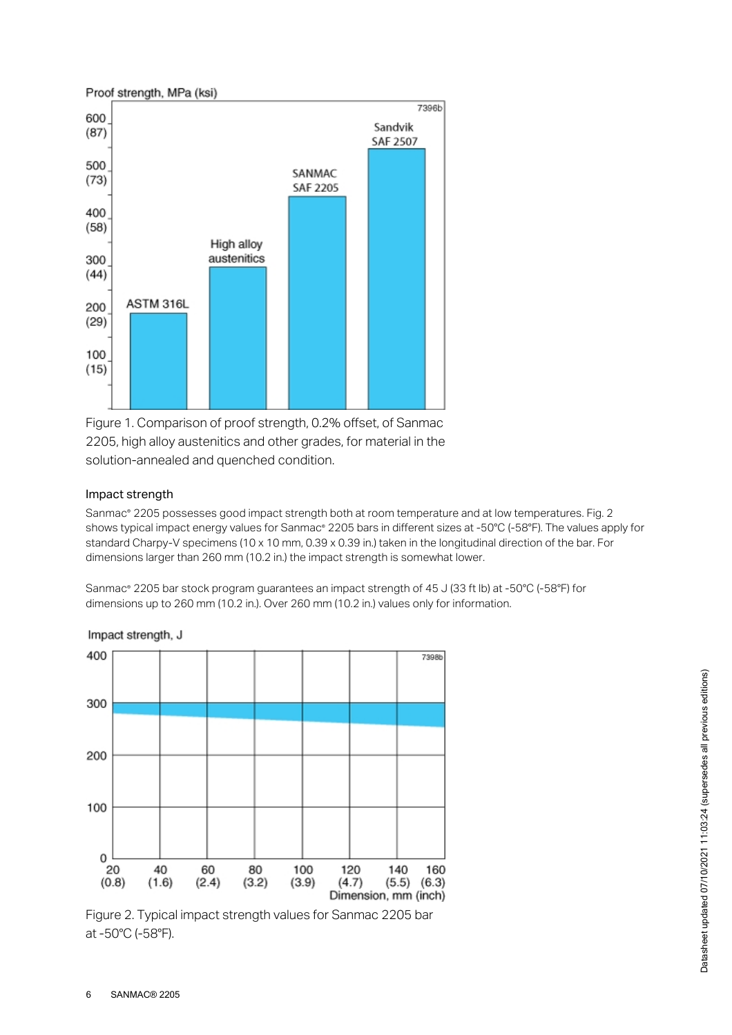

Figure 1. Comparison of proof strength, 0.2% offset, of Sanmac 2205, high alloy austenitics and other grades, for material in the solution-annealed and quenched condition.

## Impact strength

Sanmac® 2205 possesses good impact strength both at room temperature and at low temperatures. Fig. 2 shows typical impact energy values for Sanmac® 2205 bars in different sizes at -50°C (-58°F). The values apply for standard Charpy-V specimens (10 x 10 mm, 0.39 x 0.39 in.) taken in the longitudinal direction of the bar. For dimensions larger than 260 mm (10.2 in.) the impact strength is somewhat lower.

Sanmac® 2205 bar stock program guarantees an impact strength of 45 J (33 ft lb) at -50°C (-58°F) for dimensions up to 260 mm (10.2 in.). Over 260 mm (10.2 in.) values only for information.



Impact strength, J

Figure 2. Typical impact strength values for Sanmac 2205 bar at -50°C (-58°F).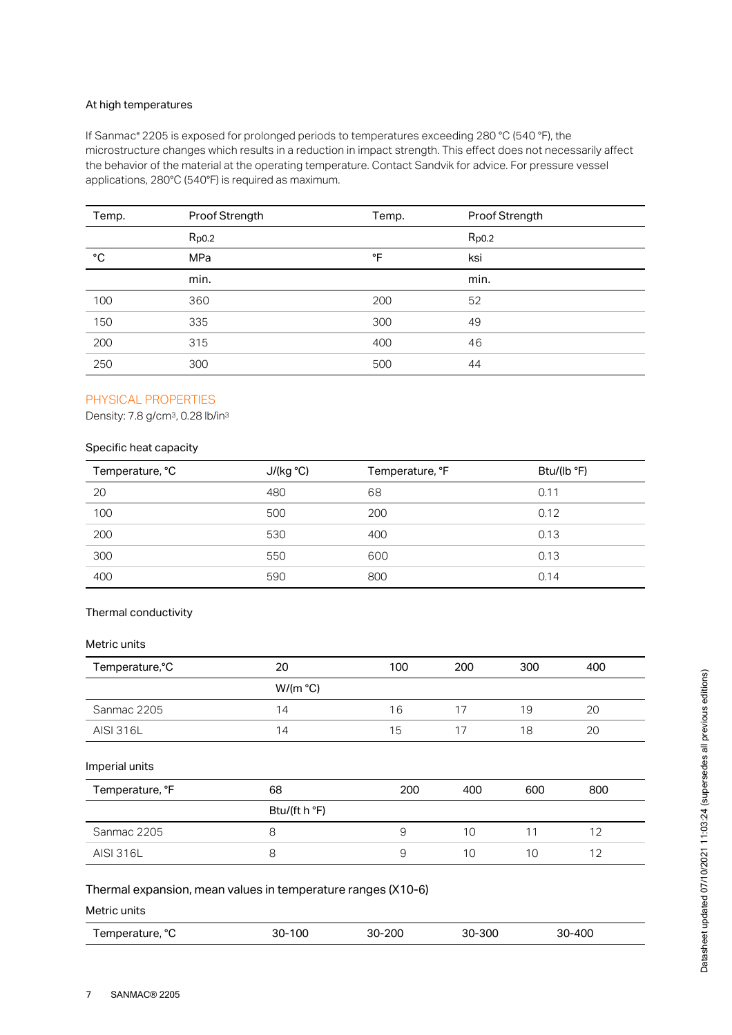#### At high temperatures

If Sanmac® 2205 is exposed for prolonged periods to temperatures exceeding 280 °C (540 °F), the microstructure changes which results in a reduction in impact strength. This effect does not necessarily affect the behavior of the material at the operating temperature. Contact Sandvik for advice. For pressure vessel applications, 280°C (540°F) is required as maximum.

| Temp.        | Proof Strength | Temp. | Proof Strength |
|--------------|----------------|-------|----------------|
|              | $R_{p0.2}$     |       | $R_{p0.2}$     |
| $^{\circ}$ C | MPa            | °F    | ksi            |
|              | min.           |       | min.           |
| 100          | 360            | 200   | 52             |
| 150          | 335            | 300   | 49             |
| 200          | 315            | 400   | 46             |
| 250          | 300            | 500   | 44             |

# PHYSICAL PROPERTIES

Density: 7.8 g/cm<sup>3</sup>, 0.28 lb/in<sup>3</sup>

# Specific heat capacity

| Temperature, °C | J/(kg °C) | Temperature, °F | Btu/(lb °F) |
|-----------------|-----------|-----------------|-------------|
| 20              | 480       | 68              | 0.11        |
| 100             | 500       | 200             | 0.12        |
| 200             | 530       | 400             | 0.13        |
| 300             | 550       | 600             | 0.13        |
| 400             | 590       | 800             | 0.14        |

## Thermal conductivity

#### Metric units

| Temperature, °C | 20       | 100 | 200 | 300 | 400 |  |
|-----------------|----------|-----|-----|-----|-----|--|
|                 | W/(m °C) |     |     |     |     |  |
| Sanmac 2205     | 14       | 16  |     | 19  | 20  |  |
| AISI 316L       | 14       | 15  |     | 18  | 20  |  |

#### Imperial units

| Temperature, °F  | 68            | 200 | 400 | 600 | 800 |
|------------------|---------------|-----|-----|-----|-----|
|                  | Btu/(ft h °F) |     |     |     |     |
| Sanmac 2205      |               | У   | 10  |     |     |
| <b>AISI 316L</b> |               |     | 10  | 10  |     |

#### Thermal expansion, mean values in temperature ranges (X10-6)

Metric units

|  | ooc<br>30-300<br>100<br>$\sim$<br>״<br>״<br>! emperature,<br>3U-<br>3U-<br>∙∠∪∪ | 30-400<br>JU |
|--|---------------------------------------------------------------------------------|--------------|
|--|---------------------------------------------------------------------------------|--------------|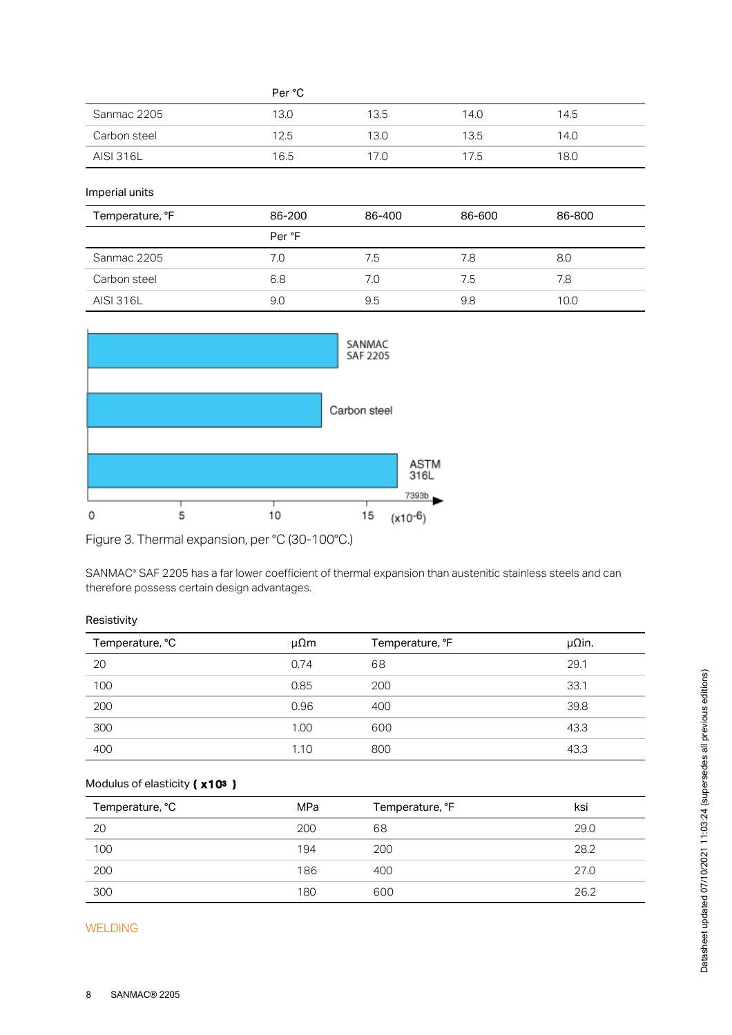|                  | Per °C |      |      |      |  |
|------------------|--------|------|------|------|--|
| Sanmac 2205      | 13.0   | 13.5 | 14.0 | 14.5 |  |
| Carbon steel     | 12.5   | 13.0 | 13.5 | 14.0 |  |
| <b>AISI 316L</b> | 16.5   | 17.0 | 17.5 | 18.0 |  |

Imperial units

| Temperature, °F  | 86-200 | 86-400 | 86-600 | 86-800 |
|------------------|--------|--------|--------|--------|
|                  | Per °F |        |        |        |
| Sanmac 2205      | 7.0    | 7.5    | 7.8    | 8.0    |
| Carbon steel     | 6.8    | 7.0    | 7.5    | 7.8    |
| <b>AISI 316L</b> | 9.0    | 9.5    | 9.8    | 10.0   |



Figure 3. Thermal expansion, per °C (30-100°C.)

SANMAC® SAF 2205 has a far lower coefficient of thermal expansion than austenitic stainless steels and can therefore possess certain design advantages.

#### Resistivity

| Temperature, °C | $\mu\Omega$ m | Temperature, °F | $\mu$ Qin. |
|-----------------|---------------|-----------------|------------|
| 20              | 0.74          | 68              | 29.1       |
| 100             | 0.85          | 200             | 33.1       |
| 200             | 0.96          | 400             | 39.8       |
| 300             | 1.00          | 600             | 43.3       |
| 400             | 1.10          | 800             | 43.3       |

#### Modulus of elasticity ( x10<sup>3</sup>)

| Temperature, °C | MPa | Temperature, °F | ksi  |
|-----------------|-----|-----------------|------|
| 20              | 200 | 68              | 29.0 |
| 100             | 194 | 200             | 28.2 |
| 200             | 186 | 400             | 27.0 |
| 300             | 180 | 600             | 26.2 |

## WELDING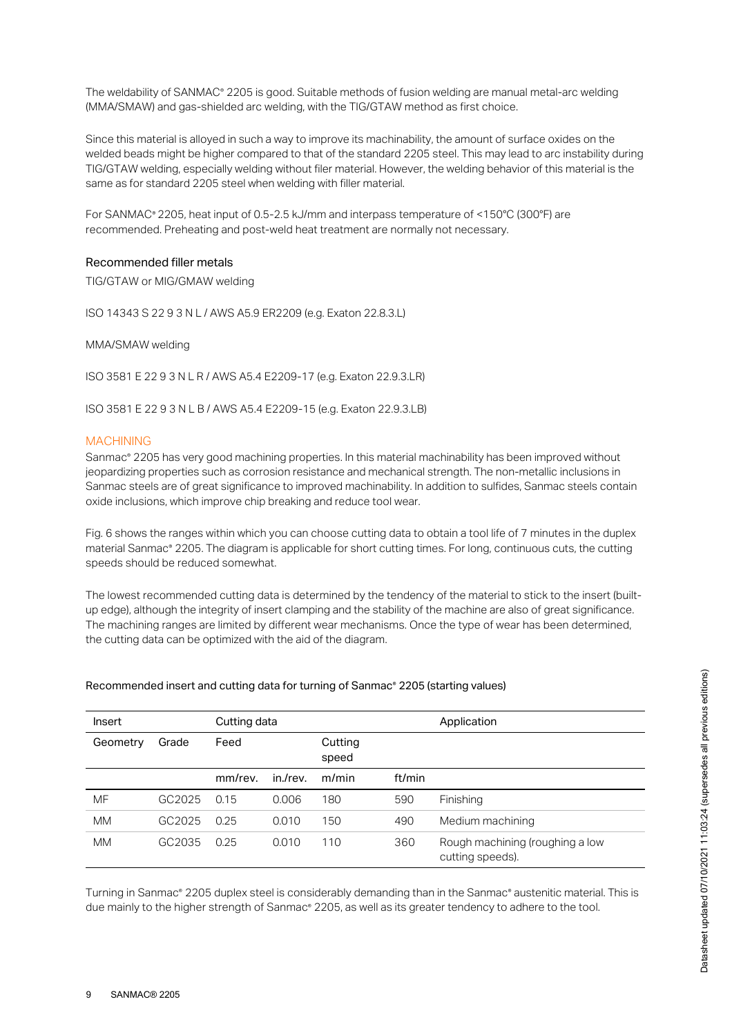The weldability of SANMAC® 2205 is good. Suitable methods of fusion welding are manual metal-arc welding (MMA/SMAW) and gas-shielded arc welding, with the TIG/GTAW method as first choice.

Since this material is alloyed in such a way to improve its machinability, the amount of surface oxides on the welded beads might be higher compared to that of the standard 2205 steel. This may lead to arc instability during TIG/GTAW welding, especially welding without filer material. However, the welding behavior of this material is the same as for standard 2205 steel when welding with filler material.

For SANMAC® 2205, heat input of 0.5-2.5 kJ/mm and interpass temperature of <150°C (300°F) are recommended. Preheating and post-weld heat treatment are normally not necessary.

#### Recommended filler metals

TIG/GTAW or MIG/GMAW welding

ISO 14343 S 22 9 3 N L / AWS A5.9 ER2209 (e.g. Exaton 22.8.3.L)

MMA/SMAW welding

ISO 3581 E 22 9 3 N L R / AWS A5.4 E2209-17 (e.g. Exaton 22.9.3.LR)

ISO 3581 E 22 9 3 N L B / AWS A5.4 E2209-15 (e.g. Exaton 22.9.3.LB)

#### MACHINING

Sanmac® 2205 has very good machining properties. In this material machinability has been improved without jeopardizing properties such as corrosion resistance and mechanical strength. The non-metallic inclusions in Sanmac steels are of great significance to improved machinability. In addition to sulfides, Sanmac steels contain oxide inclusions, which improve chip breaking and reduce tool wear.

Fig. 6 shows the ranges within which you can choose cutting data to obtain a tool life of 7 minutes in the duplex material Sanmac® 2205. The diagram is applicable for short cutting times. For long, continuous cuts, the cutting speeds should be reduced somewhat.

The lowest recommended cutting data is determined by the tendency of the material to stick to the insert (builtup edge), although the integrity of insert clamping and the stability of the machine are also of great significance. The machining ranges are limited by different wear mechanisms. Once the type of wear has been determined, the cutting data can be optimized with the aid of the diagram.

#### Recommended insert and cutting data for turning of Sanmac® 2205 (starting values)

| Insert    |        | Cutting data |          | Application      |        |                                                     |
|-----------|--------|--------------|----------|------------------|--------|-----------------------------------------------------|
| Geometry  | Grade  | Feed         |          | Cutting<br>speed |        |                                                     |
|           |        | mm/rev.      | in./rev. | m/min            | ft/min |                                                     |
| MF        | GC2025 | 0.15         | 0.006    | 180              | 590    | Finishing                                           |
| <b>MM</b> | GC2025 | 0.25         | 0.010    | 150              | 490    | Medium machining                                    |
| <b>MM</b> | GC2035 | 0.25         | 0.010    | 110              | 360    | Rough machining (roughing a low<br>cutting speeds). |

Turning in Sanmac® 2205 duplex steel is considerably demanding than in the Sanmac® austenitic material. This is due mainly to the higher strength of Sanmac® 2205, as well as its greater tendency to adhere to the tool.